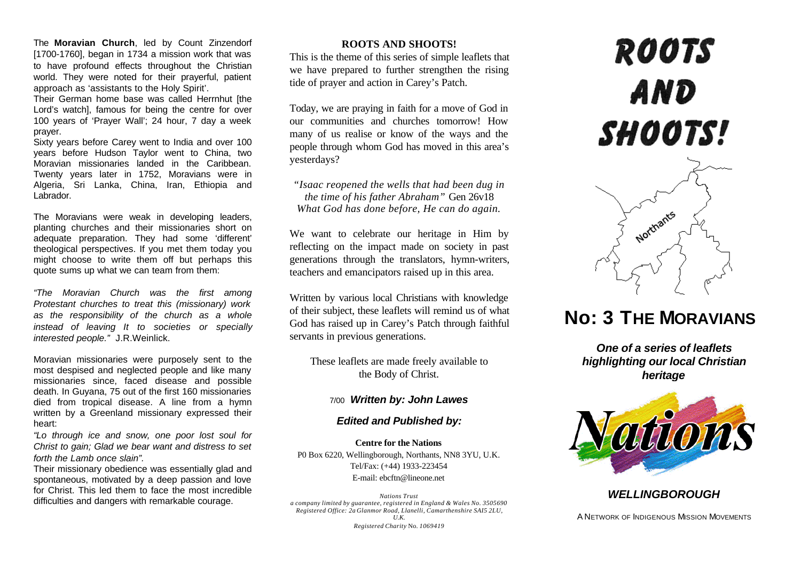The **Moravian Church**, led by Count Zinzendorf [1700-1760], began in 1734 a mission work that was to have profound effects throughout the Christian world. They were noted for their prayerful, patient approach as 'assistants to the Holy Spirit'.

Their German home base was called Herrnhut [the Lord's watch], famous for being the centre for over 100 years of 'Prayer Wall'; 24 hour, 7 day a week prayer.

Sixty years before Carey went to India and over 100 years before Hudson Taylor went to China, two Moravian missionaries landed in the Caribbean. Twenty years later in 1752, Moravians were in Algeria, Sri Lanka, China, Iran, Ethiopia and Labrador.

The Moravians were weak in developing leaders, planting churches and their missionaries short on adequate preparation. They had some 'different' theological perspectives. If you met them today you might choose to write them off but perhaps this quote sums up what we can team from them:

*"The Moravian Church was the first among Protestant churches to treat this (missionary) work as the responsibility of the church as a whole instead of leaving It to societies or specially interested people."* J.R.Weinlick.

Moravian missionaries were purposely sent to the most despised and neglected people and like many missionaries since, faced disease and possible death. In Guyana, 75 out of the first 160 missionaries died from tropical disease. A line from a hymn written by a Greenland missionary expressed their heart:

*"Lo through ice and snow, one poor lost soul for Christ to gain; Glad we bear want and distress to set forth the Lamb once slain".*

Their missionary obedience was essentially glad and spontaneous, motivated by a deep passion and love for Christ. This led them to face the most incredible difficulties and dangers with remarkable courage.

### **ROOTS AND SHOOTS!**

This is the theme of this series of simple leaflets that we have prepared to further strengthen the rising tide of prayer and action in Carey's Patch.

Today, we are praying in faith for a move of God in our communities and churches tomorrow! How many of us realise or know of the ways and the people through whom God has moved in this area's yesterdays?

*"Isaac reopened the wells that had been dug in the time of his father Abraham"* Gen 26v18 *What God has done before, He can do again.*

We want to celebrate our heritage in Him by reflecting on the impact made on society in past generations through the translators, hymn-writers, teachers and emancipators raised up in this area.

Written by various local Christians with knowledge of their subject, these leaflets will remind us of what God has raised up in Carey's Patch through faithful servants in previous generations.

These leaflets are made freely available to the Body of Christ.

## 7/00 *Written by: John Lawes*

#### *Edited and Published by:*

**Centre for the Nations** P0 Box 6220, Wellingborough, Northants, NN8 3YU, U.K. Tel/Fax: (+44) 1933-223454 E-mail: ebcftn@lineone.net

*Nations Trust a company limited by guarantee, registered in England & Wales No. 3505690 Registered Office: 2a Glanmor Road, Llanelli, Camarthenshire SAI5 2LU, U.K. Registered Charity* No. *1069419*

# **ROOTS** AND SHOOTS!



# **No: 3 THE MORAVIANS**

*One of a series of leaflets highlighting our local Christian heritage*



# *WELLINGBOROUGH*

A NETWORK OF INDIGENOUS MISSION MOVEMENTS